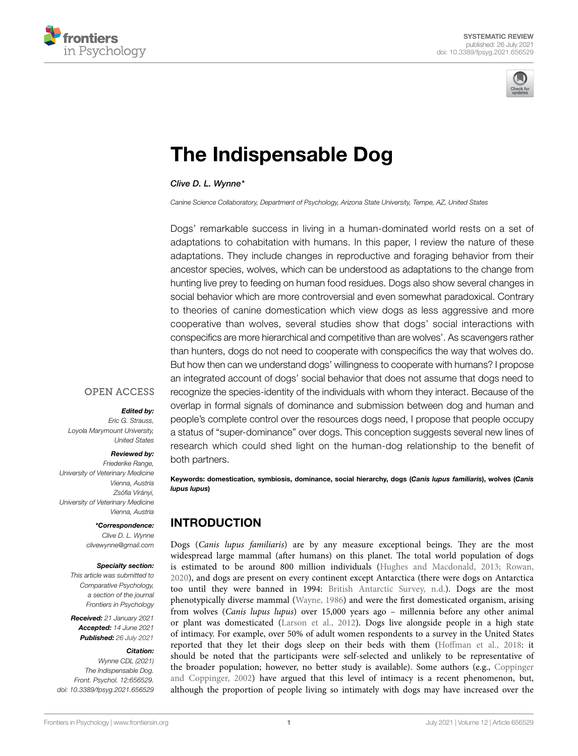



# [The Indispensable Dog](https://www.frontiersin.org/articles/10.3389/fpsyg.2021.656529/full)

*Clive D. L. Wynne\**

*Canine Science Collaboratory, Department of Psychology, Arizona State University, Tempe, AZ, United States*

Dogs' remarkable success in living in a human-dominated world rests on a set of adaptations to cohabitation with humans. In this paper, I review the nature of these adaptations. They include changes in reproductive and foraging behavior from their ancestor species, wolves, which can be understood as adaptations to the change from hunting live prey to feeding on human food residues. Dogs also show several changes in social behavior which are more controversial and even somewhat paradoxical. Contrary to theories of canine domestication which view dogs as less aggressive and more cooperative than wolves, several studies show that dogs' social interactions with conspecifics are more hierarchical and competitive than are wolves'. As scavengers rather than hunters, dogs do not need to cooperate with conspecifics the way that wolves do. But how then can we understand dogs' willingness to cooperate with humans? I propose an integrated account of dogs' social behavior that does not assume that dogs need to recognize the species-identity of the individuals with whom they interact. Because of the overlap in formal signals of dominance and submission between dog and human and people's complete control over the resources dogs need, I propose that people occupy a status of "super-dominance" over dogs. This conception suggests several new lines of research which could shed light on the human-dog relationship to the benefit of both partners.

Keywords: domestication, symbiosis, dominance, social hierarchy, dogs (*Canis lupus familiaris*), wolves (*Canis* 

# INTRODUCTION

*lupus lupus*)

Dogs (*Canis lupus familiaris*) are by any measure exceptional beings. They are the most widespread large mammal (after humans) on this planet. The total world population of dogs is estimated to be around 800 million individuals [\(Hughes and Macdonald, 2013;](#page-8-0) [Rowan,](#page-9-0)  [2020\)](#page-9-0), and dogs are present on every continent except Antarctica (there were dogs on Antarctica too until they were banned in 1994: [British Antarctic Survey, n.d.\)](#page-7-0). Dogs are the most phenotypically diverse mammal [\(Wayne, 1986\)](#page-10-0) and were the first domesticated organism, arising from wolves (*Canis lupus lupus*) over 15,000 years ago – millennia before any other animal or plant was domesticated ([Larson et al., 2012](#page-8-1)). Dogs live alongside people in a high state of intimacy. For example, over 50% of adult women respondents to a survey in the United States reported that they let their dogs sleep on their beds with them ([Hoffman et al., 2018](#page-8-2): it should be noted that the participants were self-selected and unlikely to be representative of the broader population; however, no better study is available). Some authors (e.g., [Coppinger](#page-7-1)  [and Coppinger, 2002\)](#page-7-1) have argued that this level of intimacy is a recent phenomenon, but, although the proportion of people living so intimately with dogs may have increased over the

## **OPEN ACCESS**

#### *Edited by:*

*Eric G. Strauss, Loyola Marymount University, United States*

#### *Reviewed by:*

*Friederike Range, University of Veterinary Medicine Vienna, Austria Zsófia Virányi, University of Veterinary Medicine Vienna, Austria*

*\*Correspondence:* 

*Clive D. L. Wynne [clivewynne@gmail.com](mailto:clivewynne@gmail.com)*

#### *Specialty section:*

*This article was submitted to Comparative Psychology, a section of the journal Frontiers in Psychology*

*Received: 21 January 2021 Accepted: 14 June 2021 Published: 26 July 2021*

#### *Citation:*

*Wynne CDL (2021) The Indispensable Dog. Front. Psychol. 12:656529. [doi: 10.3389/fpsyg.2021.656529](https://doi.org/10.3389/fpsyg.2021.656529)*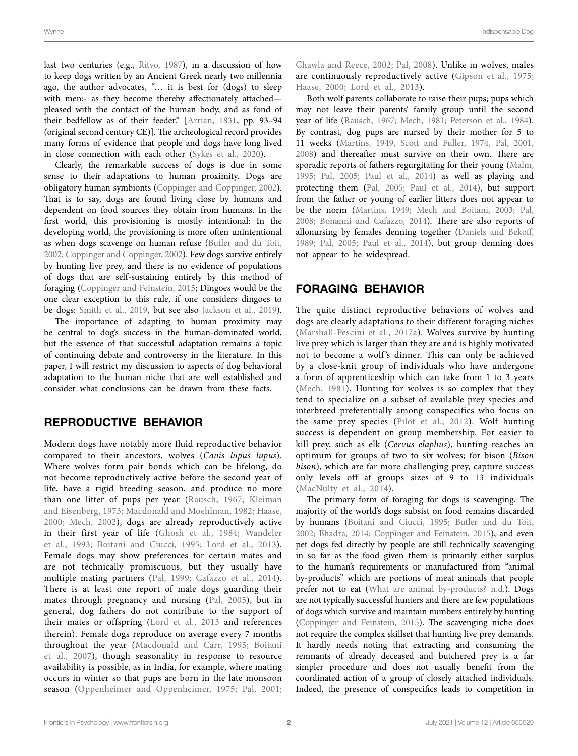last two centuries (e.g., [Ritvo, 1987\)](#page-9-1), in a discussion of how to keep dogs written by an Ancient Greek nearly two millennia ago, the author advocates, "… it is best for (dogs) to sleep with men:- as they become thereby affectionately attached pleased with the contact of the human body, and as fond of their bedfellow as of their feeder." [\[Arrian, 1831,](#page-7-2) pp. 93–94 (original second century CE)]. The archeological record provides many forms of evidence that people and dogs have long lived in close connection with each other [\(Sykes et al., 2020](#page-9-2)).

Clearly, the remarkable success of dogs is due in some sense to their adaptations to human proximity. Dogs are obligatory human symbionts ([Coppinger and Coppinger, 2002](#page-7-1)). That is to say, dogs are found living close by humans and dependent on food sources they obtain from humans. In the first world, this provisioning is mostly intentional: In the developing world, the provisioning is more often unintentional as when dogs scavenge on human refuse ([Butler and du Toit,](#page-7-3)  [2002](#page-7-3); [Coppinger and Coppinger, 2002](#page-7-1)). Few dogs survive entirely by hunting live prey, and there is no evidence of populations of dogs that are self-sustaining entirely by this method of foraging [\(Coppinger and Feinstein, 2015](#page-7-4); Dingoes would be the one clear exception to this rule, if one considers dingoes to be dogs: [Smith et al., 2019,](#page-9-3) but see also [Jackson et al., 2019](#page-8-3)).

The importance of adapting to human proximity may be central to dog's success in the human-dominated world, but the essence of that successful adaptation remains a topic of continuing debate and controversy in the literature. In this paper, I will restrict my discussion to aspects of dog behavioral adaptation to the human niche that are well established and consider what conclusions can be drawn from these facts.

## REPRODUCTIVE BEHAVIOR

Modern dogs have notably more fluid reproductive behavior compared to their ancestors, wolves (*Canis lupus lupus*). Where wolves form pair bonds which can be lifelong, do not become reproductively active before the second year of life, have a rigid breeding season, and produce no more than one litter of pups per year ([Rausch, 1967](#page-9-4); [Kleiman](#page-8-4)  [and Eisenberg, 1973;](#page-8-4) [Macdonald and Moehlman, 1982](#page-8-5); [Haase,](#page-8-6)  [2000](#page-8-6); [Mech, 2002\)](#page-9-5), dogs are already reproductively active in their first year of life ([Ghosh et al., 1984;](#page-8-7) [Wandeler](#page-10-1)  [et al., 1993](#page-10-1); [Boitani and Ciucci, 1995;](#page-7-5) [Lord et al., 2013\)](#page-8-8). Female dogs may show preferences for certain mates and are not technically promiscuous, but they usually have multiple mating partners ([Pal, 1999;](#page-9-6) [Cafazzo et al., 2014\)](#page-7-6). There is at least one report of male dogs guarding their mates through pregnancy and nursing [\(Pal, 2005\)](#page-9-7), but in general, dog fathers do not contribute to the support of their mates or offspring ([Lord et al., 2013](#page-8-8) and references therein). Female dogs reproduce on average every 7 months throughout the year [\(Macdonald and Carr, 1995](#page-8-9); [Boitani](#page-7-7)  [et al., 2007](#page-7-7)), though seasonality in response to resource availability is possible, as in India, for example, where mating occurs in winter so that pups are born in the late monsoon season [\(Oppenheimer and Oppenheimer, 1975](#page-9-8); [Pal, 2001](#page-9-9); [Chawla and Reece, 2002](#page-7-8); [Pal, 2008](#page-9-10)). Unlike in wolves, males are continuously reproductively active ([Gipson et al., 1975;](#page-8-10) [Haase, 2000](#page-8-6); [Lord et al., 2013\)](#page-8-8).

Both wolf parents collaborate to raise their pups; pups which may not leave their parents' family group until the second year of life ([Rausch, 1967;](#page-9-4) [Mech, 1981](#page-9-11); [Peterson et al., 1984](#page-9-12)). By contrast, dog pups are nursed by their mother for 5 to 11 weeks ([Martins, 1949,](#page-9-13) [Scott and Fuller, 1974](#page-9-14), [Pal, 2001,](#page-9-9) [2008\)](#page-9-10) and thereafter must survive on their own. There are sporadic reports of fathers regurgitating for their young [\(Malm,](#page-8-11)  [1995;](#page-8-11) [Pal, 2005](#page-9-7); [Paul et al., 2014\)](#page-9-15) as well as playing and protecting them ([Pal, 2005](#page-9-7); [Paul et al., 2014\)](#page-9-15), but support from the father or young of earlier litters does not appear to be the norm [\(Martins, 1949;](#page-9-13) [Mech and Boitani, 2003;](#page-9-16) [Pal,](#page-9-10)  [2008;](#page-9-10) [Bonanni and Cafazzo, 2014\)](#page-7-9). There are also reports of allonursing by females denning together [\(Daniels and Bekoff,](#page-8-12)  [1989;](#page-8-12) [Pal, 2005;](#page-9-7) [Paul et al., 2014](#page-9-15)), but group denning does not appear to be widespread.

# FORAGING BEHAVIOR

The quite distinct reproductive behaviors of wolves and dogs are clearly adaptations to their different foraging niches [\(Marshall-Pescini et al., 2017a](#page-9-17)). Wolves survive by hunting live prey which is larger than they are and is highly motivated not to become a wolf's dinner. This can only be achieved by a close-knit group of individuals who have undergone a form of apprenticeship which can take from 1 to 3 years [\(Mech, 1981](#page-9-11)). Hunting for wolves is so complex that they tend to specialize on a subset of available prey species and interbreed preferentially among conspecifics who focus on the same prey species ([Pilot et al., 2012\)](#page-9-18). Wolf hunting success is dependent on group membership. For easier to kill prey, such as elk (*Cervus elaphus*), hunting reaches an optimum for groups of two to six wolves; for bison (*Bison bison*), which are far more challenging prey, capture success only levels off at groups sizes of 9 to 13 individuals [\(MacNulty et al., 2014](#page-8-13)).

The primary form of foraging for dogs is scavenging. The majority of the world's dogs subsist on food remains discarded by humans [\(Boitani and Ciucci, 1995](#page-7-5); [Butler and du Toit,](#page-7-3)  [2002;](#page-7-3) [Bhadra, 2014;](#page-7-10) [Coppinger and Feinstein, 2015\)](#page-7-4), and even pet dogs fed directly by people are still technically scavenging in so far as the food given them is primarily either surplus to the human's requirements or manufactured from "animal by-products" which are portions of meat animals that people prefer not to eat ([What are animal by-products? n.d.](#page-10-2)). Dogs are not typically successful hunters and there are few populations of dogs which survive and maintain numbers entirely by hunting [\(Coppinger and Feinstein, 2015\)](#page-7-4). The scavenging niche does not require the complex skillset that hunting live prey demands. It hardly needs noting that extracting and consuming the remnants of already deceased and butchered prey is a far simpler procedure and does not usually benefit from the coordinated action of a group of closely attached individuals. Indeed, the presence of conspecifics leads to competition in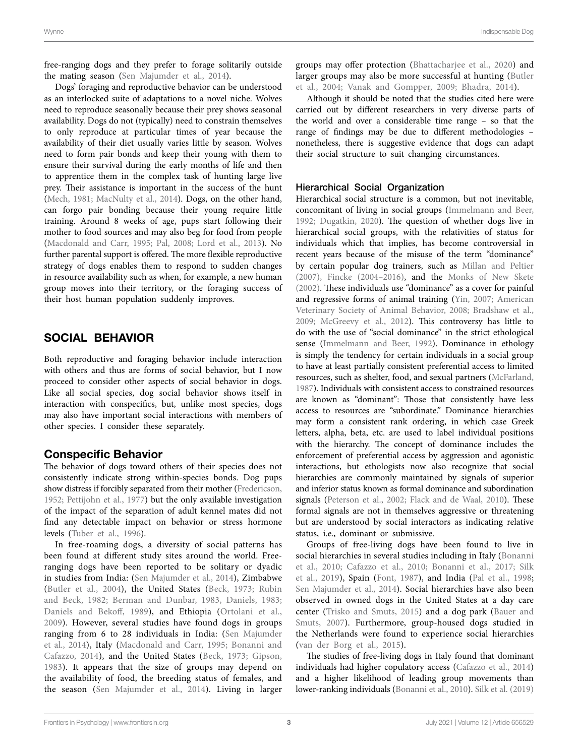free-ranging dogs and they prefer to forage solitarily outside the mating season ([Sen Majumder et al., 2014\)](#page-9-19).

Dogs' foraging and reproductive behavior can be understood as an interlocked suite of adaptations to a novel niche. Wolves need to reproduce seasonally because their prey shows seasonal availability. Dogs do not (typically) need to constrain themselves to only reproduce at particular times of year because the availability of their diet usually varies little by season. Wolves need to form pair bonds and keep their young with them to ensure their survival during the early months of life and then to apprentice them in the complex task of hunting large live prey. Their assistance is important in the success of the hunt ([Mech, 1981;](#page-9-11) [MacNulty et al., 2014\)](#page-8-13). Dogs, on the other hand, can forgo pair bonding because their young require little training. Around 8 weeks of age, pups start following their mother to food sources and may also beg for food from people ([Macdonald and Carr, 1995](#page-8-9); [Pal, 2008](#page-9-10); [Lord et al., 2013\)](#page-8-8). No further parental support is offered. The more flexible reproductive strategy of dogs enables them to respond to sudden changes in resource availability such as when, for example, a new human group moves into their territory, or the foraging success of their host human population suddenly improves.

# SOCIAL BEHAVIOR

Both reproductive and foraging behavior include interaction with others and thus are forms of social behavior, but I now proceed to consider other aspects of social behavior in dogs. Like all social species, dog social behavior shows itself in interaction with conspecifics, but, unlike most species, dogs may also have important social interactions with members of other species. I consider these separately.

## Conspecific Behavior

The behavior of dogs toward others of their species does not consistently indicate strong within-species bonds. Dog pups show distress if forcibly separated from their mother [\(Fredericson,](#page-8-14)  [1952;](#page-8-14) [Pettijohn et al., 1977](#page-9-20)) but the only available investigation of the impact of the separation of adult kennel mates did not find any detectable impact on behavior or stress hormone levels ([Tuber et al., 1996](#page-10-3)).

In free-roaming dogs, a diversity of social patterns has been found at different study sites around the world. Freeranging dogs have been reported to be solitary or dyadic in studies from India: ([Sen Majumder et al., 2014\)](#page-9-19), Zimbabwe ([Butler et al., 2004\)](#page-7-11), the United States ([Beck, 1973;](#page-7-12) [Rubin](#page-9-21)  [and Beck, 1982](#page-9-21); [Berman and Dunbar, 1983](#page-7-13), [Daniels, 1983](#page-8-15); [Daniels and Bekoff, 1989\)](#page-8-12), and Ethiopia ([Ortolani et al.,](#page-9-22)  [2009](#page-9-22)). However, several studies have found dogs in groups ranging from 6 to 28 individuals in India: [\(Sen Majumder](#page-9-19)  [et al., 2014\)](#page-9-19), Italy ([Macdonald and Carr, 1995](#page-8-9); [Bonanni and](#page-7-9)  [Cafazzo, 2014\)](#page-7-9), and the United States ([Beck, 1973](#page-7-12); [Gipson,](#page-8-16)  [1983](#page-8-16)). It appears that the size of groups may depend on the availability of food, the breeding status of females, and the season ([Sen Majumder et al., 2014\)](#page-9-19). Living in larger

groups may offer protection ([Bhattacharjee et al., 2020](#page-7-14)) and larger groups may also be more successful at hunting ([Butler](#page-7-11)  [et al., 2004](#page-7-11); [Vanak and Gompper, 2009;](#page-10-4) [Bhadra, 2014](#page-7-10)).

Although it should be noted that the studies cited here were carried out by different researchers in very diverse parts of the world and over a considerable time range – so that the range of findings may be due to different methodologies – nonetheless, there is suggestive evidence that dogs can adapt their social structure to suit changing circumstances.

#### Hierarchical Social Organization

Hierarchical social structure is a common, but not inevitable, concomitant of living in social groups [\(Immelmann and Beer,](#page-8-17)  [1992;](#page-8-17) [Dugatkin, 2020](#page-8-18)). The question of whether dogs live in hierarchical social groups, with the relativities of status for individuals which that implies, has become controversial in recent years because of the misuse of the term "dominance" by certain popular dog trainers, such as [Millan and Peltier](#page-9-23)  [\(2007\),](#page-9-23) [Fincke \(2004–2016\)](#page-8-19), and the [Monks of New Skete](#page-9-24)  [\(2002\).](#page-9-24) These individuals use "dominance" as a cover for painful and regressive forms of animal training ([Yin, 2007](#page-10-5); [American](#page-7-15)  [Veterinary Society of Animal Behavior, 2008](#page-7-15); [Bradshaw et al.,](#page-7-16)  [2009;](#page-7-16) [McGreevy et al., 2012\)](#page-9-25). This controversy has little to do with the use of "social dominance" in the strict ethological sense ([Immelmann and Beer, 1992](#page-8-17)). Dominance in ethology is simply the tendency for certain individuals in a social group to have at least partially consistent preferential access to limited resources, such as shelter, food, and sexual partners [\(McFarland,](#page-9-26)  [1987\)](#page-9-26). Individuals with consistent access to constrained resources are known as "dominant": Those that consistently have less access to resources are "subordinate." Dominance hierarchies may form a consistent rank ordering, in which case Greek letters, alpha, beta, etc. are used to label individual positions with the hierarchy. The concept of dominance includes the enforcement of preferential access by aggression and agonistic interactions, but ethologists now also recognize that social hierarchies are commonly maintained by signals of superior and inferior status known as formal dominance and subordination signals (Peterson et al., 2002; [Flack and de Waal, 2010](#page-8-20)). These formal signals are not in themselves aggressive or threatening but are understood by social interactors as indicating relative status, i.e., dominant or submissive.

Groups of free-living dogs have been found to live in social hierarchies in several studies including in Italy ([Bonanni](#page-7-17)  [et al., 2010;](#page-7-17) [Cafazzo et al., 2010](#page-7-18); [Bonanni et al., 2017;](#page-7-19) [Silk](#page-9-28)  [et al., 2019\)](#page-9-28), Spain [\(Font, 1987\)](#page-8-21), and India ([Pal et al., 1998;](#page-9-29) [Sen Majumder et al., 2014\)](#page-9-19). Social hierarchies have also been observed in owned dogs in the United States at a day care center ([Trisko and Smuts, 2015\)](#page-9-30) and a dog park ([Bauer and](#page-7-20)  [Smuts, 2007](#page-7-20)). Furthermore, group-housed dogs studied in the Netherlands were found to experience social hierarchies [\(van der Borg et al., 2015\)](#page-10-6).

The studies of free-living dogs in Italy found that dominant individuals had higher copulatory access [\(Cafazzo et al., 2014\)](#page-7-6) and a higher likelihood of leading group movements than lower-ranking individuals [\(Bonanni et al., 2010\)](#page-7-17). [Silk et al. \(2019\)](#page-9-28)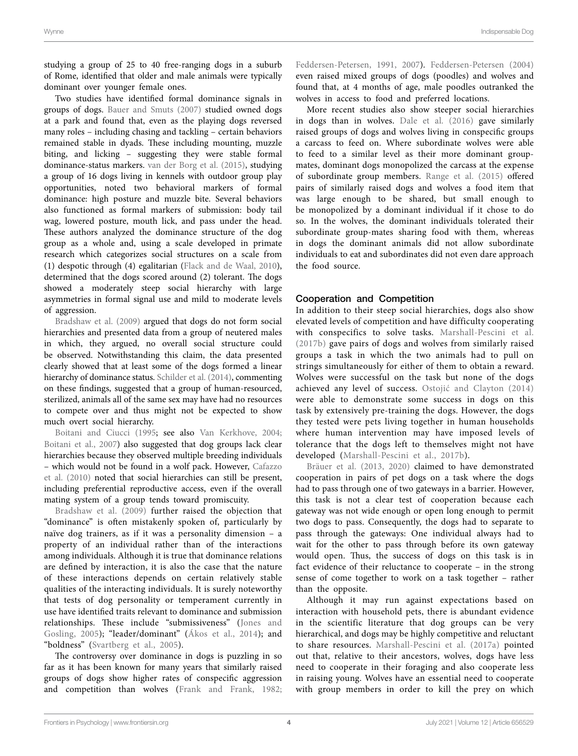studying a group of 25 to 40 free-ranging dogs in a suburb of Rome, identified that older and male animals were typically dominant over younger female ones.

Two studies have identified formal dominance signals in groups of dogs. [Bauer and Smuts \(2007\)](#page-7-20) studied owned dogs at a park and found that, even as the playing dogs reversed many roles – including chasing and tackling – certain behaviors remained stable in dyads. These including mounting, muzzle biting, and licking – suggesting they were stable formal dominance-status markers. [van der Borg et al. \(2015\),](#page-10-6) studying a group of 16 dogs living in kennels with outdoor group play opportunities, noted two behavioral markers of formal dominance: high posture and muzzle bite. Several behaviors also functioned as formal markers of submission: body tail wag, lowered posture, mouth lick, and pass under the head. These authors analyzed the dominance structure of the dog group as a whole and, using a scale developed in primate research which categorizes social structures on a scale from (1) despotic through (4) egalitarian [\(Flack and de Waal, 2010](#page-8-20)), determined that the dogs scored around (2) tolerant. The dogs showed a moderately steep social hierarchy with large asymmetries in formal signal use and mild to moderate levels of aggression.

[Bradshaw et al. \(2009\)](#page-7-16) argued that dogs do not form social hierarchies and presented data from a group of neutered males in which, they argued, no overall social structure could be observed. Notwithstanding this claim, the data presented clearly showed that at least some of the dogs formed a linear hierarchy of dominance status. [Schilder et al. \(2014\),](#page-9-31) commenting on these findings, suggested that a group of human-resourced, sterilized, animals all of the same sex may have had no resources to compete over and thus might not be expected to show much overt social hierarchy.

[Boitani and Ciucci \(1995;](#page-7-5) see also [Van Kerkhove, 2004](#page-10-7); [Boitani et al., 2007](#page-7-7)) also suggested that dog groups lack clear hierarchies because they observed multiple breeding individuals – which would not be found in a wolf pack. However, [Cafazzo](#page-7-18)  [et al. \(2010\)](#page-7-18) noted that social hierarchies can still be present, including preferential reproductive access, even if the overall mating system of a group tends toward promiscuity.

Bradshaw et al. (2009) further raised the objection that "dominance" is often mistakenly spoken of, particularly by naïve dog trainers, as if it was a personality dimension – a property of an individual rather than of the interactions among individuals. Although it is true that dominance relations are defined by interaction, it is also the case that the nature of these interactions depends on certain relatively stable qualities of the interacting individuals. It is surely noteworthy that tests of dog personality or temperament currently in use have identified traits relevant to dominance and submission relationships. These include "submissiveness" ([Jones and](#page-8-22)  [Gosling, 2005\)](#page-8-22); "leader/dominant" ([Ákos et al., 2014\)](#page-7-21); and "boldness" ([Svartberg et al., 2005](#page-9-32)).

The controversy over dominance in dogs is puzzling in so far as it has been known for many years that similarly raised groups of dogs show higher rates of conspecific aggression and competition than wolves [\(Frank and Frank, 1982](#page-8-23); [Feddersen-Petersen, 1991,](#page-8-24) [2007\)](#page-8-25). [Feddersen-Petersen \(2004\)](#page-8-26) even raised mixed groups of dogs (poodles) and wolves and found that, at 4 months of age, male poodles outranked the wolves in access to food and preferred locations.

More recent studies also show steeper social hierarchies in dogs than in wolves. [Dale et al. \(2016\)](#page-8-27) gave similarly raised groups of dogs and wolves living in conspecific groups a carcass to feed on. Where subordinate wolves were able to feed to a similar level as their more dominant groupmates, dominant dogs monopolized the carcass at the expense of subordinate group members. [Range et al. \(2015\)](#page-9-33) offered pairs of similarly raised dogs and wolves a food item that was large enough to be shared, but small enough to be monopolized by a dominant individual if it chose to do so. In the wolves, the dominant individuals tolerated their subordinate group-mates sharing food with them, whereas in dogs the dominant animals did not allow subordinate individuals to eat and subordinates did not even dare approach the food source.

#### Cooperation and Competition

In addition to their steep social hierarchies, dogs also show elevated levels of competition and have difficulty cooperating with conspecifics to solve tasks. [Marshall-Pescini et al.](#page-9-34)  [\(2017b\)](#page-9-34) gave pairs of dogs and wolves from similarly raised groups a task in which the two animals had to pull on strings simultaneously for either of them to obtain a reward. Wolves were successful on the task but none of the dogs achieved any level of success. [Ostojić and Clayton \(2014\)](#page-9-35) were able to demonstrate some success in dogs on this task by extensively pre-training the dogs. However, the dogs they tested were pets living together in human households where human intervention may have imposed levels of tolerance that the dogs left to themselves might not have developed ([Marshall-Pescini et al., 2017b](#page-9-34)).

[Bräuer et al. \(2013,](#page-7-22) [2020\)](#page-7-23) claimed to have demonstrated cooperation in pairs of pet dogs on a task where the dogs had to pass through one of two gateways in a barrier. However, this task is not a clear test of cooperation because each gateway was not wide enough or open long enough to permit two dogs to pass. Consequently, the dogs had to separate to pass through the gateways: One individual always had to wait for the other to pass through before its own gateway would open. Thus, the success of dogs on this task is in fact evidence of their reluctance to cooperate – in the strong sense of come together to work on a task together – rather than the opposite.

Although it may run against expectations based on interaction with household pets, there is abundant evidence in the scientific literature that dog groups can be very hierarchical, and dogs may be highly competitive and reluctant to share resources. [Marshall-Pescini et al. \(2017a\)](#page-9-17) pointed out that, relative to their ancestors, wolves, dogs have less need to cooperate in their foraging and also cooperate less in raising young. Wolves have an essential need to cooperate with group members in order to kill the prey on which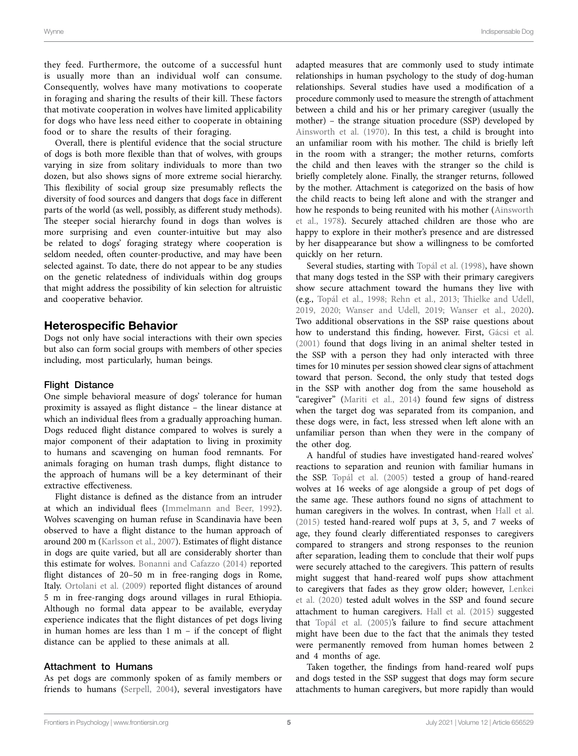Wynne Indispensable Dog

they feed. Furthermore, the outcome of a successful hunt is usually more than an individual wolf can consume. Consequently, wolves have many motivations to cooperate in foraging and sharing the results of their kill. These factors that motivate cooperation in wolves have limited applicability for dogs who have less need either to cooperate in obtaining food or to share the results of their foraging.

Overall, there is plentiful evidence that the social structure of dogs is both more flexible than that of wolves, with groups varying in size from solitary individuals to more than two dozen, but also shows signs of more extreme social hierarchy. This flexibility of social group size presumably reflects the diversity of food sources and dangers that dogs face in different parts of the world (as well, possibly, as different study methods). The steeper social hierarchy found in dogs than wolves is more surprising and even counter-intuitive but may also be related to dogs' foraging strategy where cooperation is seldom needed, often counter-productive, and may have been selected against. To date, there do not appear to be any studies on the genetic relatedness of individuals within dog groups that might address the possibility of kin selection for altruistic and cooperative behavior.

#### Heterospecific Behavior

Dogs not only have social interactions with their own species but also can form social groups with members of other species including, most particularly, human beings.

#### Flight Distance

One simple behavioral measure of dogs' tolerance for human proximity is assayed as flight distance – the linear distance at which an individual flees from a gradually approaching human. Dogs reduced flight distance compared to wolves is surely a major component of their adaptation to living in proximity to humans and scavenging on human food remnants. For animals foraging on human trash dumps, flight distance to the approach of humans will be a key determinant of their extractive effectiveness.

Flight distance is defined as the distance from an intruder at which an individual flees [\(Immelmann and Beer, 1992](#page-8-17)). Wolves scavenging on human refuse in Scandinavia have been observed to have a flight distance to the human approach of around 200 m [\(Karlsson et al., 2007\)](#page-8-28). Estimates of flight distance in dogs are quite varied, but all are considerably shorter than this estimate for wolves. [Bonanni and Cafazzo \(2014\)](#page-7-9) reported flight distances of 20–50 m in free-ranging dogs in Rome, Italy. Ortolani et al. (2009) reported flight distances of around 5 m in free-ranging dogs around villages in rural Ethiopia. Although no formal data appear to be available, everyday experience indicates that the flight distances of pet dogs living in human homes are less than  $1 \text{ m}$  – if the concept of flight distance can be applied to these animals at all.

#### Attachment to Humans

As pet dogs are commonly spoken of as family members or friends to humans ([Serpell, 2004](#page-9-36)), several investigators have

adapted measures that are commonly used to study intimate relationships in human psychology to the study of dog-human relationships. Several studies have used a modification of a procedure commonly used to measure the strength of attachment between a child and his or her primary caregiver (usually the mother) – the strange situation procedure (SSP) developed by Ainsworth et al. (1970). In this test, a child is brought into an unfamiliar room with his mother. The child is briefly left in the room with a stranger; the mother returns, comforts the child and then leaves with the stranger so the child is briefly completely alone. Finally, the stranger returns, followed by the mother. Attachment is categorized on the basis of how the child reacts to being left alone and with the stranger and how he responds to being reunited with his mother [\(Ainsworth](#page-7-25)  [et al., 1978](#page-7-25)). Securely attached children are those who are happy to explore in their mother's presence and are distressed by her disappearance but show a willingness to be comforted quickly on her return.

Several studies, starting with [Topál et al. \(1998\),](#page-9-37) have shown that many dogs tested in the SSP with their primary caregivers show secure attachment toward the humans they live with (e.g., [Topál et al., 1998](#page-9-37); [Rehn et al., 2013;](#page-9-38) [Thielke and Udell,](#page-9-39)  [2019,](#page-9-39) [2020;](#page-9-40) [Wanser and Udell, 2019](#page-10-8); [Wanser et al., 2020](#page-10-9)). Two additional observations in the SSP raise questions about how to understand this finding, however. First, [Gácsi et al.](#page-8-29)  [\(2001\)](#page-8-29) found that dogs living in an animal shelter tested in the SSP with a person they had only interacted with three times for 10 minutes per session showed clear signs of attachment toward that person. Second, the only study that tested dogs in the SSP with another dog from the same household as "caregiver" [\(Mariti et al., 2014\)](#page-9-41) found few signs of distress when the target dog was separated from its companion, and these dogs were, in fact, less stressed when left alone with an unfamiliar person than when they were in the company of the other dog.

A handful of studies have investigated hand-reared wolves' reactions to separation and reunion with familiar humans in the SSP. [Topál et al. \(2005\)](#page-9-42) tested a group of hand-reared wolves at 16 weeks of age alongside a group of pet dogs of the same age. These authors found no signs of attachment to human caregivers in the wolves. In contrast, when [Hall et al.](#page-8-30)  [\(2015\)](#page-8-30) tested hand-reared wolf pups at 3, 5, and 7 weeks of age, they found clearly differentiated responses to caregivers compared to strangers and strong responses to the reunion after separation, leading them to conclude that their wolf pups were securely attached to the caregivers. This pattern of results might suggest that hand-reared wolf pups show attachment to caregivers that fades as they grow older; however, [Lenkei](#page-8-31)  [et al. \(2020\)](#page-8-31) tested adult wolves in the SSP and found secure attachment to human caregivers. [Hall et al. \(2015\)](#page-8-30) suggested that [Topál et al. \(2005\)'](#page-9-42)s failure to find secure attachment might have been due to the fact that the animals they tested were permanently removed from human homes between 2 and 4 months of age.

Taken together, the findings from hand-reared wolf pups and dogs tested in the SSP suggest that dogs may form secure attachments to human caregivers, but more rapidly than would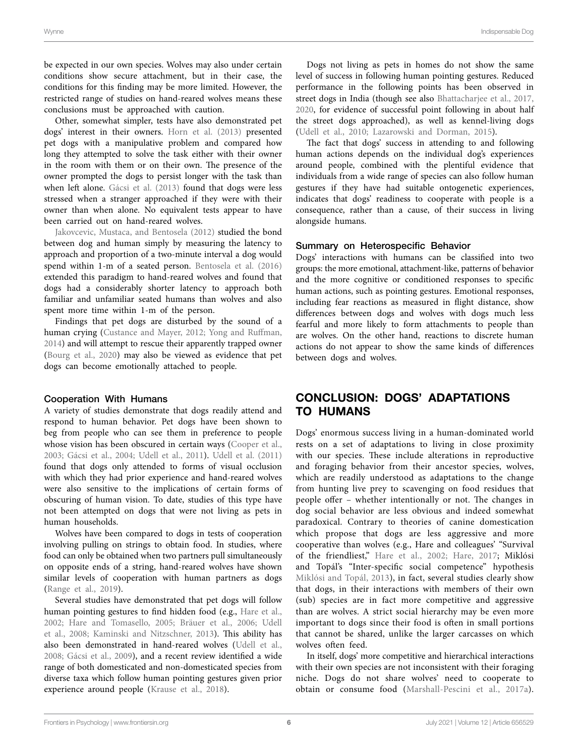be expected in our own species. Wolves may also under certain conditions show secure attachment, but in their case, the conditions for this finding may be more limited. However, the restricted range of studies on hand-reared wolves means these conclusions must be approached with caution.

Other, somewhat simpler, tests have also demonstrated pet dogs' interest in their owners. [Horn et al. \(2013\)](#page-8-32) presented pet dogs with a manipulative problem and compared how long they attempted to solve the task either with their owner in the room with them or on their own. The presence of the owner prompted the dogs to persist longer with the task than when left alone. Gácsi et al. (2013) found that dogs were less stressed when a stranger approached if they were with their owner than when alone. No equivalent tests appear to have been carried out on hand-reared wolves.

[Jakovcevic, Mustaca, and Bentosela \(2012\)](#page-8-34) studied the bond between dog and human simply by measuring the latency to approach and proportion of a two-minute interval a dog would spend within 1-m of a seated person. [Bentosela et al. \(2016\)](#page-7-26) extended this paradigm to hand-reared wolves and found that dogs had a considerably shorter latency to approach both familiar and unfamiliar seated humans than wolves and also spent more time within 1-m of the person.

Findings that pet dogs are disturbed by the sound of a human crying ([Custance and Mayer, 2012;](#page-8-35) [Yong and Ruffman,](#page-10-10)  [2014\)](#page-10-10) and will attempt to rescue their apparently trapped owner ([Bourg et al., 2020](#page-7-27)) may also be viewed as evidence that pet dogs can become emotionally attached to people.

#### Cooperation With Humans

A variety of studies demonstrate that dogs readily attend and respond to human behavior. Pet dogs have been shown to beg from people who can see them in preference to people whose vision has been obscured in certain ways (Cooper et al., [2003;](#page-7-28) [Gácsi et al., 2004](#page-8-36); [Udell et al., 2011\)](#page-10-11). [Udell et al. \(2011\)](#page-10-11) found that dogs only attended to forms of visual occlusion with which they had prior experience and hand-reared wolves were also sensitive to the implications of certain forms of obscuring of human vision. To date, studies of this type have not been attempted on dogs that were not living as pets in human households.

Wolves have been compared to dogs in tests of cooperation involving pulling on strings to obtain food. In studies, where food can only be obtained when two partners pull simultaneously on opposite ends of a string, hand-reared wolves have shown similar levels of cooperation with human partners as dogs ([Range et al., 2019](#page-9-43)).

Several studies have demonstrated that pet dogs will follow human pointing gestures to find hidden food (e.g., [Hare et al.,](#page-8-37)  [2002;](#page-8-37) [Hare and Tomasello, 2005](#page-8-38); [Bräuer et al., 2006;](#page-7-29) [Udell](#page-10-12)  [et al., 2008;](#page-10-12) [Kaminski and Nitzschner, 2013](#page-8-39)). This ability has also been demonstrated in hand-reared wolves ([Udell et al.,](#page-10-12)  [2008;](#page-10-12) [Gácsi et al., 2009](#page-8-40)), and a recent review identified a wide range of both domesticated and non-domesticated species from diverse taxa which follow human pointing gestures given prior experience around people [\(Krause et al., 2018\)](#page-8-41).

Dogs not living as pets in homes do not show the same level of success in following human pointing gestures. Reduced performance in the following points has been observed in street dogs in India (though see also [Bhattacharjee et al., 2017,](#page-7-30) [2020,](#page-7-14) for evidence of successful point following in about half the street dogs approached), as well as kennel-living dogs [\(Udell et al., 2010;](#page-10-13) [Lazarowski and Dorman, 2015\)](#page-8-42).

The fact that dogs' success in attending to and following human actions depends on the individual dog's experiences around people, combined with the plentiful evidence that individuals from a wide range of species can also follow human gestures if they have had suitable ontogenetic experiences, indicates that dogs' readiness to cooperate with people is a consequence, rather than a cause, of their success in living alongside humans.

#### Summary on Heterospecific Behavior

Dogs' interactions with humans can be classified into two groups: the more emotional, attachment-like, patterns of behavior and the more cognitive or conditioned responses to specific human actions, such as pointing gestures. Emotional responses, including fear reactions as measured in flight distance, show differences between dogs and wolves with dogs much less fearful and more likely to form attachments to people than are wolves. On the other hand, reactions to discrete human actions do not appear to show the same kinds of differences between dogs and wolves.

# CONCLUSION: DOGS' ADAPTATIONS TO HUMANS

Dogs' enormous success living in a human-dominated world rests on a set of adaptations to living in close proximity with our species. These include alterations in reproductive and foraging behavior from their ancestor species, wolves, which are readily understood as adaptations to the change from hunting live prey to scavenging on food residues that people offer – whether intentionally or not. The changes in dog social behavior are less obvious and indeed somewhat paradoxical. Contrary to theories of canine domestication which propose that dogs are less aggressive and more cooperative than wolves (e.g., Hare and colleagues' "Survival of the friendliest," [Hare et al., 2002](#page-8-37); [Hare, 2017](#page-8-43); Miklósi and Topál's "Inter-specific social competence" hypothesis [Miklósi and Topál, 2013](#page-9-44)), in fact, several studies clearly show that dogs, in their interactions with members of their own (sub) species are in fact more competitive and aggressive than are wolves. A strict social hierarchy may be even more important to dogs since their food is often in small portions that cannot be shared, unlike the larger carcasses on which wolves often feed.

In itself, dogs' more competitive and hierarchical interactions with their own species are not inconsistent with their foraging niche. Dogs do not share wolves' need to cooperate to obtain or consume food ([Marshall-Pescini et al., 2017a](#page-9-17)).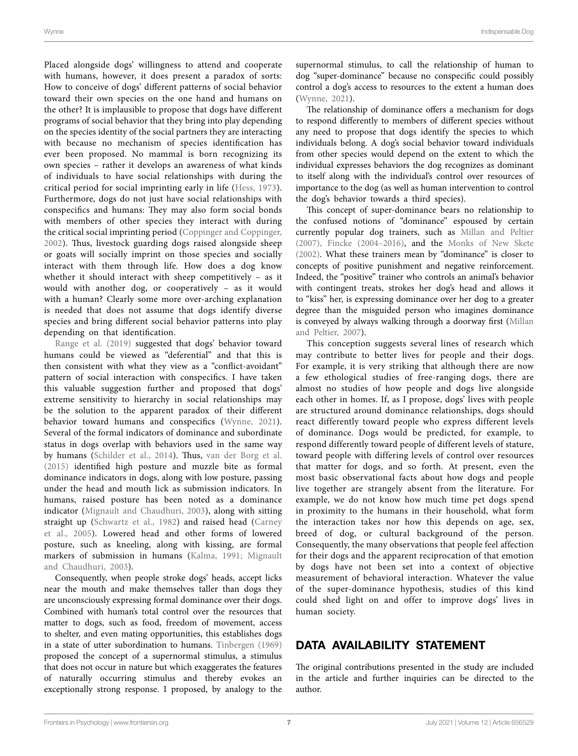Placed alongside dogs' willingness to attend and cooperate with humans, however, it does present a paradox of sorts: How to conceive of dogs' different patterns of social behavior toward their own species on the one hand and humans on the other? It is implausible to propose that dogs have different programs of social behavior that they bring into play depending on the species identity of the social partners they are interacting with because no mechanism of species identification has ever been proposed. No mammal is born recognizing its own species – rather it develops an awareness of what kinds of individuals to have social relationships with during the critical period for social imprinting early in life [\(Hess, 1973\)](#page-8-44). Furthermore, dogs do not just have social relationships with conspecifics and humans: They may also form social bonds with members of other species they interact with during the critical social imprinting period ([Coppinger and Coppinger,](#page-7-1)  [2002](#page-7-1)). Thus, livestock guarding dogs raised alongside sheep or goats will socially imprint on those species and socially interact with them through life. How does a dog know whether it should interact with sheep competitively – as it would with another dog, or cooperatively – as it would with a human? Clearly some more over-arching explanation is needed that does not assume that dogs identify diverse species and bring different social behavior patterns into play depending on that identification.

[Range et al. \(2019\)](#page-9-43) suggested that dogs' behavior toward humans could be viewed as "deferential" and that this is then consistent with what they view as a "conflict-avoidant" pattern of social interaction with conspecifics. I have taken this valuable suggestion further and proposed that dogs' extreme sensitivity to hierarchy in social relationships may be the solution to the apparent paradox of their different behavior toward humans and conspecifics ([Wynne, 2021](#page-10-14)). Several of the formal indicators of dominance and subordinate status in dogs overlap with behaviors used in the same way by humans ([Schilder et al., 2014](#page-9-31)). Thus, [van der Borg et al.](#page-10-6)  [\(2015\)](#page-10-6) identified high posture and muzzle bite as formal dominance indicators in dogs, along with low posture, passing under the head and mouth lick as submission indicators. In humans, raised posture has been noted as a dominance indicator [\(Mignault and Chaudhuri, 2003](#page-9-45)), along with sitting straight up (Schwartz et al., 1982) and raised head (Carney [et al., 2005](#page-7-31)). Lowered head and other forms of lowered posture, such as kneeling, along with kissing, are formal markers of submission in humans [\(Kalma, 1991;](#page-8-45) [Mignault](#page-9-45)  [and Chaudhuri, 2003\)](#page-9-45).

Consequently, when people stroke dogs' heads, accept licks near the mouth and make themselves taller than dogs they are unconsciously expressing formal dominance over their dogs. Combined with human's total control over the resources that matter to dogs, such as food, freedom of movement, access to shelter, and even mating opportunities, this establishes dogs in a state of utter subordination to humans. [Tinbergen \(1969\)](#page-9-47) proposed the concept of a supernormal stimulus, a stimulus that does not occur in nature but which exaggerates the features of naturally occurring stimulus and thereby evokes an exceptionally strong response. I proposed, by analogy to the supernormal stimulus, to call the relationship of human to dog "super-dominance" because no conspecific could possibly control a dog's access to resources to the extent a human does [\(Wynne, 2021\)](#page-10-14).

The relationship of dominance offers a mechanism for dogs to respond differently to members of different species without any need to propose that dogs identify the species to which individuals belong. A dog's social behavior toward individuals from other species would depend on the extent to which the individual expresses behaviors the dog recognizes as dominant to itself along with the individual's control over resources of importance to the dog (as well as human intervention to control the dog's behavior towards a third species).

This concept of super-dominance bears no relationship to the confused notions of "dominance" espoused by certain currently popular dog trainers, such as [Millan and Peltier](#page-9-23)  [\(2007\),](#page-9-23) [Fincke \(2004–2016\)](#page-8-19), and the [Monks of New Skete](#page-9-24)  [\(2002\).](#page-9-24) What these trainers mean by "dominance" is closer to concepts of positive punishment and negative reinforcement. Indeed, the "positive" trainer who controls an animal's behavior with contingent treats, strokes her dog's head and allows it to "kiss" her, is expressing dominance over her dog to a greater degree than the misguided person who imagines dominance is conveyed by always walking through a doorway first ([Millan](#page-9-23)  [and Peltier, 2007\)](#page-9-23).

This conception suggests several lines of research which may contribute to better lives for people and their dogs. For example, it is very striking that although there are now a few ethological studies of free-ranging dogs, there are almost no studies of how people and dogs live alongside each other in homes. If, as I propose, dogs' lives with people are structured around dominance relationships, dogs should react differently toward people who express different levels of dominance. Dogs would be predicted, for example, to respond differently toward people of different levels of stature, toward people with differing levels of control over resources that matter for dogs, and so forth. At present, even the most basic observational facts about how dogs and people live together are strangely absent from the literature. For example, we do not know how much time pet dogs spend in proximity to the humans in their household, what form the interaction takes nor how this depends on age, sex, breed of dog, or cultural background of the person. Consequently, the many observations that people feel affection for their dogs and the apparent reciprocation of that emotion by dogs have not been set into a context of objective measurement of behavioral interaction. Whatever the value of the super-dominance hypothesis, studies of this kind could shed light on and offer to improve dogs' lives in human society.

# DATA AVAILABILITY STATEMENT

The original contributions presented in the study are included in the article and further inquiries can be directed to the author.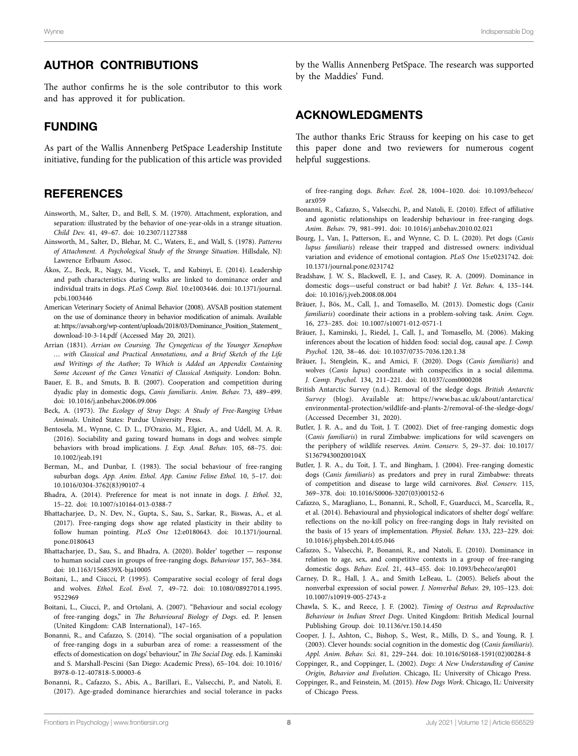## AUTHOR CONTRIBUTIONS

The author confirms he is the sole contributor to this work and has approved it for publication.

## FUNDING

As part of the Wallis Annenberg PetSpace Leadership Institute initiative, funding for the publication of this article was provided

## **REFERENCES**

- <span id="page-7-24"></span>Ainsworth, M., Salter, D., and Bell, S. M. (1970). Attachment, exploration, and separation: illustrated by the behavior of one-year-olds in a strange situation. *Child Dev.* 41, 49–67. doi: [10.2307/1127388](https://doi.org/10.2307/1127388)
- <span id="page-7-25"></span>Ainsworth, M., Salter, D., Blehar, M. C., Waters, E., and Wall, S. (1978). *Patterns of Attachment. A Psychological Study of the Strange Situation*. Hillsdale, NJ: Lawrence Erlbaum Assoc.
- <span id="page-7-21"></span>Ákos, Z., Beck, R., Nagy, M., Vicsek, T., and Kubinyi, E. (2014). Leadership and path characteristics during walks are linked to dominance order and individual traits in dogs. *PLoS Comp. Biol.* 10:e1003446. doi: [10.1371/journal.](https://doi.org/10.1371/journal.pcbi.1003446) [pcbi.1003446](https://doi.org/10.1371/journal.pcbi.1003446)
- <span id="page-7-15"></span>American Veterinary Society of Animal Behavior (2008). AVSAB position statement on the use of dominance theory in behavior modification of animals. Available at: [https://avsab.org/wp-content/uploads/2018/03/Dominance\\_Position\\_Statement\\_](https://avsab.org/wp-content/uploads/2018/03/Dominance_Position_Statement_download-10-3-14.pdf) [download-10-3-14.pdf](https://avsab.org/wp-content/uploads/2018/03/Dominance_Position_Statement_download-10-3-14.pdf) (Accessed May 20, 2021).
- <span id="page-7-2"></span>Arrian (1831). *Arrian on Coursing. The Cynegeticus of the Younger Xenophon … with Classical and Practical Annotations, and a Brief Sketch of the Life and Writings of the Author; To Which is Added an Appendix Containing Some Account of the Canes Venatici of Classical Antiquity*. London: Bohn.
- <span id="page-7-20"></span>Bauer, E. B., and Smuts, B. B. (2007). Cooperation and competition during dyadic play in domestic dogs, *Canis familiaris*. *Anim. Behav.* 73, 489–499. doi: [10.1016/j.anbehav.2006.09.006](https://doi.org/10.1016/j.anbehav.2006.09.006)
- <span id="page-7-12"></span>Beck, A. (1973). *The Ecology of Stray Dogs: A Study of Free-Ranging Urban Animals*. United States: Purdue University Press.
- <span id="page-7-26"></span>Bentosela, M., Wynne, C. D. L., D'Orazio, M., Elgier, A., and Udell, M. A. R. (2016). Sociability and gazing toward humans in dogs and wolves: simple behaviors with broad implications. *J. Exp. Anal. Behav.* 105, 68–75. doi: [10.1002/jeab.191](https://doi.org/10.1002/jeab.191)
- <span id="page-7-13"></span>Berman, M., and Dunbar, I. (1983). The social behaviour of free-ranging suburban dogs. *App. Anim. Ethol. App. Canine Feline Ethol.* 10, 5–17. doi: [10.1016/0304-3762\(83\)90107-4](https://doi.org/10.1016/0304-3762(83)90107-4)
- <span id="page-7-10"></span>Bhadra, A. (2014). Preference for meat is not innate in dogs. *J. Ethol.* 32, 15–22. doi: [10.1007/s10164-013-0388-7](https://doi.org/10.1007/s10164-013-0388-7)
- <span id="page-7-30"></span>Bhattacharjee, D., N. Dev, N., Gupta, S., Sau, S., Sarkar, R., Biswas, A., et al. (2017). Free-ranging dogs show age related plasticity in their ability to follow human pointing. *PLoS One* 12:e0180643. doi: [10.1371/journal.](https://doi.org/10.1371/journal.pone.0180643) [pone.0180643](https://doi.org/10.1371/journal.pone.0180643)
- <span id="page-7-14"></span>Bhattacharjee, D., Sau, S., and Bhadra, A. (2020). Bolder' together — response to human social cues in groups of free-ranging dogs. *Behaviour* 157, 363–384. doi: [10.1163/1568539X-bja10005](https://doi.org/10.1163/1568539X-bja10005)
- <span id="page-7-5"></span>Boitani, L., and Ciucci, P. (1995). Comparative social ecology of feral dogs and wolves. *Ethol. Ecol. Evol.* 7, 49–72. doi: [10.1080/08927014.1995.](https://doi.org/10.1080/08927014.1995.9522969) [9522969](https://doi.org/10.1080/08927014.1995.9522969)
- <span id="page-7-7"></span>Boitani, L., Ciucci, P., and Ortolani, A. (2007). "Behaviour and social ecology of free-ranging dogs," in *The Behavioural Biology of Dogs*. ed. P. Jensen (United Kingdom: CAB International), 147–165.
- <span id="page-7-9"></span>Bonanni, R., and Cafazzo, S. (2014). "The social organisation of a population of free-ranging dogs in a suburban area of rome: a reassessment of the effects of domestication on dogs' behaviour," in *The Social Dog*. eds. J. Kaminski and S. Marshall-Pescini (San Diego: Academic Press), 65–104. doi: [10.1016/](https://doi.org/10.1016/B978-0-12-407818-5.00003-6) [B978-0-12-407818-5.00003-6](https://doi.org/10.1016/B978-0-12-407818-5.00003-6)
- <span id="page-7-19"></span>Bonanni, R., Cafazzo, S., Abis, A., Barillari, E., Valsecchi, P., and Natoli, E. (2017). Age-graded dominance hierarchies and social tolerance in packs

by the Wallis Annenberg PetSpace. The research was supported by the Maddies' Fund.

## ACKNOWLEDGMENTS

The author thanks Eric Strauss for keeping on his case to get this paper done and two reviewers for numerous cogent helpful suggestions.

of free-ranging dogs. *Behav. Ecol.* 28, 1004–1020. doi: [10.1093/beheco/](https://doi.org/10.1093/beheco/arx059) [arx059](https://doi.org/10.1093/beheco/arx059)

- <span id="page-7-17"></span>Bonanni, R., Cafazzo, S., Valsecchi, P., and Natoli, E. (2010). Effect of affiliative and agonistic relationships on leadership behaviour in free-ranging dogs. *Anim. Behav.* 79, 981–991. doi: [10.1016/j.anbehav.2010.02.021](https://doi.org/10.1016/j.anbehav.2010.02.021)
- <span id="page-7-27"></span>Bourg, J., Van, J., Patterson, E., and Wynne, C. D. L. (2020). Pet dogs (*Canis lupus familiaris*) release their trapped and distressed owners: individual variation and evidence of emotional contagion. *PLoS One* 15:e0231742. doi: [10.1371/journal.pone.0231742](https://doi.org/10.1371/journal.pone.0231742)
- <span id="page-7-16"></span>Bradshaw, J. W. S., Blackwell, E. J., and Casey, R. A. (2009). Dominance in domestic dogs—useful construct or bad habit? *J. Vet. Behav.* 4, 135–144. doi: [10.1016/j.jveb.2008.08.004](https://doi.org/10.1016/j.jveb.2008.08.004)
- <span id="page-7-22"></span>Bräuer, J., Bös, M., Call, J., and Tomasello, M. (2013). Domestic dogs (*Canis familiaris*) coordinate their actions in a problem-solving task. *Anim. Cogn.* 16, 273–285. doi: [10.1007/s10071-012-0571-1](https://doi.org/10.1007/s10071-012-0571-1)
- <span id="page-7-29"></span>Bräuer, J., Kaminski, J., Riedel, J., Call, J., and Tomasello, M. (2006). Making inferences about the location of hidden food: social dog, causal ape. *J. Comp. Psychol.* 120, 38–46. doi: [10.1037/0735-7036.120.1.38](https://doi.org/10.1037/0735-7036.120.1.38)
- <span id="page-7-23"></span>Bräuer, J., Stenglein, K., and Amici, F. (2020). Dogs (*Canis familiaris*) and wolves (*Canis lupus*) coordinate with conspecifics in a social dilemma. *J. Comp. Psychol.* 134, 211–221. doi: [10.1037/com0000208](https://doi.org/10.1037/com0000208)
- <span id="page-7-0"></span>British Antarctic Survey (n.d.). Removal of the sledge dogs. *British Antarctic Survey* (blog). Available at: [https://www.bas.ac.uk/about/antarctica/](https://www.bas.ac.uk/about/antarctica/environmental-protection/wildlife-and-plants-2/removal-of-the-sledge-dogs/) [environmental-protection/wildlife-and-plants-2/removal-of-the-sledge-dogs/](https://www.bas.ac.uk/about/antarctica/environmental-protection/wildlife-and-plants-2/removal-of-the-sledge-dogs/) (Accessed December 31, 2020).
- <span id="page-7-3"></span>Butler, J. R. A., and du Toit, J. T. (2002). Diet of free-ranging domestic dogs (*Canis familiaris*) in rural Zimbabwe: implications for wild scavengers on the periphery of wildlife reserves. *Anim. Conserv.* 5, 29–37. doi: [10.1017/](https://doi.org/10.1017/S136794300200104X) [S136794300200104X](https://doi.org/10.1017/S136794300200104X)
- <span id="page-7-11"></span>Butler, J. R. A., du Toit, J. T., and Bingham, J. (2004). Free-ranging domestic dogs (*Canis familiaris*) as predators and prey in rural Zimbabwe: threats of competition and disease to large wild carnivores. *Biol. Conserv.* 115, 369–378. doi: [10.1016/S0006-3207\(03\)00152-6](https://doi.org/10.1016/S0006-3207(03)00152-6)
- <span id="page-7-6"></span>Cafazzo, S., Maragliano, L., Bonanni, R., Scholl, F., Guarducci, M., Scarcella, R., et al. (2014). Behavioural and physiological indicators of shelter dogs' welfare: reflections on the no-kill policy on free-ranging dogs in Italy revisited on the basis of 15 years of implementation. *Physiol. Behav.* 133, 223–229. doi: [10.1016/j.physbeh.2014.05.046](https://doi.org/10.1016/j.physbeh.2014.05.046)
- <span id="page-7-18"></span>Cafazzo, S., Valsecchi, P., Bonanni, R., and Natoli, E. (2010). Dominance in relation to age, sex, and competitive contexts in a group of free-ranging domestic dogs. *Behav. Ecol.* 21, 443–455. doi: [10.1093/beheco/arq001](https://doi.org/10.1093/beheco/arq001)
- <span id="page-7-31"></span>Carney, D. R., Hall, J. A., and Smith LeBeau, L. (2005). Beliefs about the nonverbal expression of social power. *J. Nonverbal Behav.* 29, 105–123. doi: [10.1007/s10919-005-2743-z](https://doi.org/10.1007/s10919-005-2743-z)
- <span id="page-7-8"></span>Chawla, S. K., and Reece, J. F. (2002). *Timing of Oestrus and Reproductive Behaviour in Indian Street Dogs*. United Kingdom: British Medical Journal Publishing Group. doi: [10.1136/vr.150.14.450](https://doi.org/10.1136/vr.150.14.450)
- <span id="page-7-28"></span>Cooper, J. J., Ashton, C., Bishop, S., West, R., Mills, D. S., and Young, R. J. (2003). Clever hounds: social cognition in the domestic dog (*Canis familiaris*). *Appl. Anim. Behav. Sci.* 81, 229–244. doi: [10.1016/S0168-1591\(02\)00284-8](https://doi.org/10.1016/S0168-1591(02)00284-8)
- <span id="page-7-1"></span>Coppinger, R., and Coppinger, L. (2002). *Dogs: A New Understanding of Canine Origin, Behavior and Evolution*. Chicago, IL: University of Chicago Press.
- <span id="page-7-4"></span>Coppinger, R., and Feinstein, M. (2015). *How Dogs Work*. Chicago, IL: University of Chicago Press.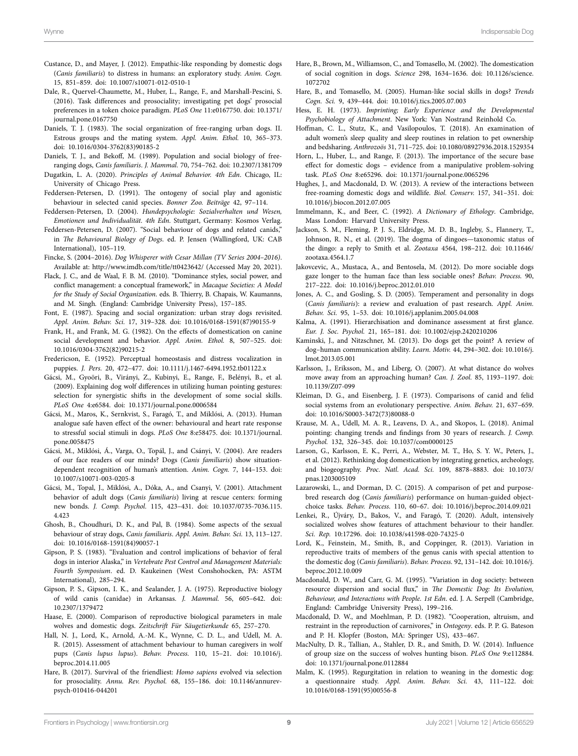- <span id="page-8-35"></span>Custance, D., and Mayer, J. (2012). Empathic-like responding by domestic dogs (*Canis familiaris*) to distress in humans: an exploratory study. *Anim. Cogn.* 15, 851–859. doi: [10.1007/s10071-012-0510-1](https://doi.org/10.1007/s10071-012-0510-1)
- <span id="page-8-27"></span>Dale, R., Quervel-Chaumette, M., Huber, L., Range, F., and Marshall-Pescini, S. (2016). Task differences and prosociality; investigating pet dogs' prosocial preferences in a token choice paradigm. *PLoS One* 11:e0167750. doi: [10.1371/](https://doi.org/10.1371/journal.pone.0167750) [journal.pone.0167750](https://doi.org/10.1371/journal.pone.0167750)
- <span id="page-8-15"></span>Daniels, T. J. (1983). The social organization of free-ranging urban dogs. II. Estrous groups and the mating system. *Appl. Anim. Ethol.* 10, 365–373. doi: [10.1016/0304-3762\(83\)90185-2](https://doi.org/10.1016/0304-3762(83)90185-2)
- <span id="page-8-12"></span>Daniels, T. J., and Bekoff, M. (1989). Population and social biology of freeranging dogs, *Canis familiaris*. *J. Mammal.* 70, 754–762. doi: [10.2307/1381709](https://doi.org/10.2307/1381709)
- <span id="page-8-18"></span>Dugatkin, L. A. (2020). *Principles of Animal Behavior. 4th Edn*. Chicago, IL: University of Chicago Press.
- <span id="page-8-24"></span>Feddersen-Petersen, D. (1991). The ontogeny of social play and agonistic behaviour in selected canid species. *Bonner Zoo. Beiträge* 42, 97–114.
- <span id="page-8-26"></span>Feddersen-Petersen, D. (2004). *Hundepsychologie: Sozialverhalten und Wesen, Emotionen und Individualität. 4th Edn*. Stuttgart, Germany: Kosmos Verlag.
- <span id="page-8-25"></span>Feddersen-Petersen, D. (2007). "Social behaviour of dogs and related canids," in *The Behavioural Biology of Dogs*. ed. P. Jensen (Wallingford, UK: CAB International), 105–119.
- <span id="page-8-19"></span>Fincke, S. (2004–2016). *Dog Whisperer with Cesar Millan (TV Series 2004–2016)*. Available at: <http://www.imdb.com/title/tt0423642/>(Accessed May 20, 2021).
- <span id="page-8-20"></span>Flack, J. C., and de Waal, F. B. M. (2010). "Dominance styles, social power, and conflict management: a conceptual framework," in *Macaque Societies: A Model for the Study of Social Organization*. eds. B. Thierry, B. Chapais, W. Kaumanns, and M. Singh*.* (England: Cambridge University Press), 157–185.
- <span id="page-8-21"></span>Font, E. (1987). Spacing and social organization: urban stray dogs revisited. *Appl. Anim. Behav. Sci.* 17, 319–328. doi: [10.1016/0168-1591\(87\)90155-9](https://doi.org/10.1016/0168-1591(87)90155-9)
- <span id="page-8-23"></span>Frank, H., and Frank, M. G. (1982). On the effects of domestication on canine social development and behavior. *Appl. Anim. Ethol.* 8, 507–525. doi: [10.1016/0304-3762\(82\)90215-2](https://doi.org/10.1016/0304-3762(82)90215-2)
- <span id="page-8-14"></span>Fredericson, E. (1952). Perceptual homeostasis and distress vocalization in puppies. *J. Pers.* 20, 472–477. doi: [10.1111/j.1467-6494.1952.tb01122.x](https://doi.org/10.1111/j.1467-6494.1952.tb01122.x)
- <span id="page-8-40"></span>Gácsi, M., Gyoöri, B., Virányi, Z., Kubinyi, E., Range, F., Belényi, B., et al. (2009). Explaining dog wolf differences in utilizing human pointing gestures: selection for synergistic shifts in the development of some social skills. *PLoS One* 4:e6584. doi: [10.1371/journal.pone.0006584](https://doi.org/10.1371/journal.pone.0006584)
- <span id="page-8-33"></span>Gácsi, M., Maros, K., Sernkvist, S., Faragó, T., and Miklósi, A. (2013). Human analogue safe haven effect of the owner: behavioural and heart rate response to stressful social stimuli in dogs. *PLoS One* 8:e58475. doi: [10.1371/journal.](https://doi.org/10.1371/journal.pone.0058475) [pone.0058475](https://doi.org/10.1371/journal.pone.0058475)
- <span id="page-8-36"></span>Gácsi, M., Miklósi, Á., Varga, O., Topál, J., and Csányi, V. (2004). Are readers of our face readers of our minds? Dogs (*Canis familiaris*) show situationdependent recognition of human's attention. *Anim. Cogn.* 7, 144–153. doi: [10.1007/s10071-003-0205-8](https://doi.org/10.1007/s10071-003-0205-8)
- <span id="page-8-29"></span>Gácsi, M., Topal, J., Miklósi, A., Dóka, A., and Csanyi, V. (2001). Attachment behavior of adult dogs (*Canis familiaris*) living at rescue centers: forming new bonds. *J. Comp. Psychol.* 115, 423–431. doi: [10.1037/0735-7036.115.](https://doi.org/10.1037/0735-7036.115.4.423) [4.423](https://doi.org/10.1037/0735-7036.115.4.423)
- <span id="page-8-7"></span>Ghosh, B., Choudhuri, D. K., and Pal, B. (1984). Some aspects of the sexual behaviour of stray dogs, *Canis familiaris*. *Appl. Anim. Behav. Sci.* 13, 113–127. doi: [10.1016/0168-1591\(84\)90057-1](https://doi.org/10.1016/0168-1591(84)90057-1)
- <span id="page-8-16"></span>Gipson, P. S. (1983). "Evaluation and control implications of behavior of feral dogs in interior Alaska," in *Vertebrate Pest Control and Management Materials: Fourth Symposium*. ed. D. Kaukeinen (West Conshohocken, PA: ASTM International), 285–294.
- <span id="page-8-10"></span>Gipson, P. S., Gipson, I. K., and Sealander, J. A. (1975). Reproductive biology of wild canis (canidae) in Arkansas. *J. Mammal.* 56, 605–642. doi: [10.2307/1379472](https://doi.org/10.2307/1379472)
- <span id="page-8-6"></span>Haase, E. (2000). Comparison of reproductive biological parameters in male wolves and domestic dogs. *Zeitschrift Für Säugetierkunde* 65, 257–270.
- <span id="page-8-30"></span>Hall, N. J., Lord, K., Arnold, A.-M. K., Wynne, C. D. L., and Udell, M. A. R. (2015). Assessment of attachment behaviour to human caregivers in wolf pups (*Canis lupus lupus*). *Behav. Process.* 110, 15–21. doi: [10.1016/j.](https://doi.org/10.1016/j.beproc.2014.11.005) [beproc.2014.11.005](https://doi.org/10.1016/j.beproc.2014.11.005)
- <span id="page-8-43"></span>Hare, B. (2017). Survival of the friendliest: *Homo sapiens* evolved via selection for prosociality. *Annu. Rev. Psychol.* 68, 155–186. doi: [10.1146/annurev](https://doi.org/10.1146/annurev-psych-010416-044201)[psych-010416-044201](https://doi.org/10.1146/annurev-psych-010416-044201)
- <span id="page-8-37"></span>Hare, B., Brown, M., Williamson, C., and Tomasello, M. (2002). The domestication of social cognition in dogs. *Science* 298, 1634–1636. doi: [10.1126/science.](https://doi.org/10.1126/science.1072702) [1072702](https://doi.org/10.1126/science.1072702)
- <span id="page-8-38"></span>Hare, B., and Tomasello, M. (2005). Human-like social skills in dogs? *Trends Cogn. Sci.* 9, 439–444. doi: [10.1016/j.tics.2005.07.003](https://doi.org/10.1016/j.tics.2005.07.003)
- <span id="page-8-44"></span>Hess, E. H. (1973). *Imprinting; Early Experience and the Developmental Psychobiology of Attachment*. New York: Van Nostrand Reinhold Co.
- <span id="page-8-2"></span>Hoffman, C. L., Stutz, K., and Vasilopoulos, T. (2018). An examination of adult women's sleep quality and sleep routines in relation to pet ownership and bedsharing. *Anthrozoös* 31, 711–725. doi: [10.1080/08927936.2018.1529354](https://doi.org/10.1080/08927936.2018.1529354)
- <span id="page-8-32"></span>Horn, L., Huber, L., and Range, F. (2013). The importance of the secure base effect for domestic dogs – evidence from a manipulative problem-solving task. *PLoS One* 8:e65296. doi: [10.1371/journal.pone.0065296](https://doi.org/10.1371/journal.pone.0065296)
- <span id="page-8-0"></span>Hughes, J., and Macdonald, D. W. (2013). A review of the interactions between free-roaming domestic dogs and wildlife. *Biol. Conserv.* 157, 341–351. doi: [10.1016/j.biocon.2012.07.005](https://doi.org/10.1016/j.biocon.2012.07.005)
- <span id="page-8-17"></span>Immelmann, K., and Beer, C. (1992). *A Dictionary of Ethology*. Cambridge, Mass London: Harvard University Press.
- <span id="page-8-3"></span>Jackson, S. M., Fleming, P. J. S., Eldridge, M. D. B., Ingleby, S., Flannery, T., Johnson, R. N., et al. (2019). The dogma of dingoes—taxonomic status of the dingo: a reply to Smith et al. *Zootaxa* 4564, 198–212. doi: [10.11646/](https://doi.org/10.11646/zootaxa.4564.1.7) [zootaxa.4564.1.7](https://doi.org/10.11646/zootaxa.4564.1.7)
- <span id="page-8-34"></span>Jakovcevic, A., Mustaca, A., and Bentosela, M. (2012). Do more sociable dogs gaze longer to the human face than less sociable ones? *Behav. Process.* 90, 217–222. doi: [10.1016/j.beproc.2012.01.010](https://doi.org/10.1016/j.beproc.2012.01.010)
- <span id="page-8-22"></span>Jones, A. C., and Gosling, S. D. (2005). Temperament and personality in dogs (*Canis familiaris*): a review and evaluation of past research. *Appl. Anim. Behav. Sci.* 95, 1–53. doi: [10.1016/j.applanim.2005.04.008](https://doi.org/10.1016/j.applanim.2005.04.008)
- <span id="page-8-45"></span>Kalma, A. (1991). Hierarchisation and dominance assessment at first glance. *Eur. J. Soc. Psychol.* 21, 165–181. doi: [10.1002/ejsp.2420210206](https://doi.org/10.1002/ejsp.2420210206)
- <span id="page-8-39"></span>Kaminski, J., and Nitzschner, M. (2013). Do dogs get the point? A review of dog–human communication ability. *Learn. Motiv.* 44, 294–302. doi: [10.1016/j.](https://doi.org/10.1016/j.lmot.2013.05.001) [lmot.2013.05.001](https://doi.org/10.1016/j.lmot.2013.05.001)
- <span id="page-8-28"></span>Karlsson, J., Eriksson, M., and Liberg, O. (2007). At what distance do wolves move away from an approaching human? *Can. J. Zool.* 85, 1193–1197. doi: [10.1139/Z07-099](https://doi.org/10.1139/Z07-099)
- <span id="page-8-4"></span>Kleiman, D. G., and Eisenberg, J. F. (1973). Comparisons of canid and felid social systems from an evolutionary perspective. *Anim. Behav.* 21, 637–659. doi: [10.1016/S0003-3472\(73\)80088-0](https://doi.org/10.1016/S0003-3472(73)80088-0)
- <span id="page-8-41"></span>Krause, M. A., Udell, M. A. R., Leavens, D. A., and Skopos, L. (2018). Animal pointing: changing trends and findings from 30 years of research. *J. Comp. Psychol.* 132, 326–345. doi: [10.1037/com0000125](https://doi.org/10.1037/com0000125)
- <span id="page-8-1"></span>Larson, G., Karlsson, E. K., Perri, A., Webster, M. T., Ho, S. Y. W., Peters, J., et al. (2012). Rethinking dog domestication by integrating genetics, archeology, and biogeography. *Proc. Natl. Acad. Sci.* 109, 8878–8883. doi: [10.1073/](https://doi.org/10.1073/pnas.1203005109) [pnas.1203005109](https://doi.org/10.1073/pnas.1203005109)
- <span id="page-8-42"></span>Lazarowski, L., and Dorman, D. C. (2015). A comparison of pet and purposebred research dog (*Canis familiaris*) performance on human-guided objectchoice tasks. *Behav. Process.* 110, 60–67. doi: [10.1016/j.beproc.2014.09.021](https://doi.org/10.1016/j.beproc.2014.09.021)
- <span id="page-8-31"></span>Lenkei, R., Újváry, D., Bakos, V., and Faragó, T. (2020). Adult, intensively socialized wolves show features of attachment behaviour to their handler. *Sci. Rep.* 10:17296. doi: [10.1038/s41598-020-74325-0](https://doi.org/10.1038/s41598-020-74325-0)
- <span id="page-8-8"></span>Lord, K., Feinstein, M., Smith, B., and Coppinger, R. (2013). Variation in reproductive traits of members of the genus canis with special attention to the domestic dog (*Canis familiaris*). *Behav. Process.* 92, 131–142. doi: [10.1016/j.](https://doi.org/10.1016/j.beproc.2012.10.009) [beproc.2012.10.009](https://doi.org/10.1016/j.beproc.2012.10.009)
- <span id="page-8-9"></span>Macdonald, D. W., and Carr, G. M. (1995). "Variation in dog society: between resource dispersion and social flux," in *The Domestic Dog: Its Evolution, Behaviour, and Interactions with People. 1st Edn*. ed. J. A. Serpell (Cambridge, England: Cambridge University Press), 199–216.
- <span id="page-8-5"></span>Macdonald, D. W., and Moehlman, P. D. (1982). "Cooperation, altruism, and restraint in the reproduction of carnivores," in *Ontogeny*. eds. P. P. G. Bateson and P. H. Klopfer (Boston, MA: Springer US), 433–467.
- <span id="page-8-13"></span>MacNulty, D. R., Tallian, A., Stahler, D. R., and Smith, D. W. (2014). Influence of group size on the success of wolves hunting bison. *PLoS One* 9:e112884. doi: [10.1371/journal.pone.0112884](https://doi.org/10.1371/journal.pone.0112884)
- <span id="page-8-11"></span>Malm, K. (1995). Regurgitation in relation to weaning in the domestic dog: a questionnaire study. *Appl. Anim. Behav. Sci.* 43, 111–122. doi: [10.1016/0168-1591\(95\)00556-8](https://doi.org/10.1016/0168-1591(95)00556-8)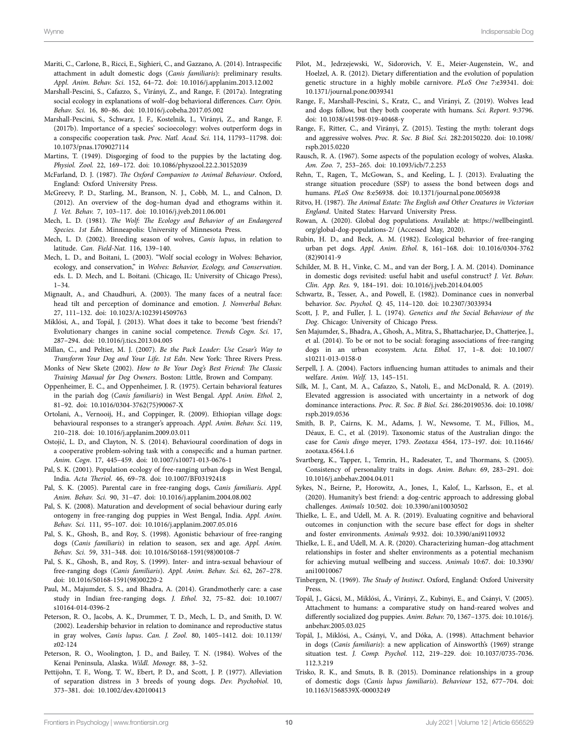- <span id="page-9-41"></span>Mariti, C., Carlone, B., Ricci, E., Sighieri, C., and Gazzano, A. (2014). Intraspecific attachment in adult domestic dogs (*Canis familiaris*): preliminary results. *Appl. Anim. Behav. Sci.* 152, 64–72. doi: [10.1016/j.applanim.2013.12.002](https://doi.org/10.1016/j.applanim.2013.12.002)
- <span id="page-9-17"></span>Marshall-Pescini, S., Cafazzo, S., Virányi, Z., and Range, F. (2017a). Integrating social ecology in explanations of wolf–dog behavioral differences. *Curr. Opin. Behav. Sci.* 16, 80–86. doi: [10.1016/j.cobeha.2017.05.002](https://doi.org/10.1016/j.cobeha.2017.05.002)
- <span id="page-9-34"></span>Marshall-Pescini, S., Schwarz, J. F., Kostelnik, I., Virányi, Z., and Range, F. (2017b). Importance of a species' socioecology: wolves outperform dogs in a conspecific cooperation task. *Proc. Natl. Acad. Sci.* 114, 11793–11798. doi: [10.1073/pnas.1709027114](https://doi.org/10.1073/pnas.1709027114)
- <span id="page-9-13"></span>Martins, T. (1949). Disgorging of food to the puppies by the lactating dog. *Physiol. Zool.* 22, 169–172. doi: [10.1086/physzool.22.2.30152039](https://doi.org/10.1086/physzool.22.2.30152039)
- <span id="page-9-26"></span>McFarland, D. J. (1987). *The Oxford Companion to Animal Behaviour*. Oxford, England: Oxford University Press.
- <span id="page-9-25"></span>McGreevy, P. D., Starling, M., Branson, N. J., Cobb, M. L., and Calnon, D. (2012). An overview of the dog–human dyad and ethograms within it. *J. Vet. Behav.* 7, 103–117. doi: [10.1016/j.jveb.2011.06.001](https://doi.org/10.1016/j.jveb.2011.06.001)
- <span id="page-9-11"></span>Mech, L. D. (1981). *The Wolf: The Ecology and Behavior of an Endangered Species. 1st Edn*. Minneapolis: University of Minnesota Press.
- <span id="page-9-5"></span>Mech, L. D. (2002). Breeding season of wolves, *Canis lupus*, in relation to latitude. *Can. Field-Nat.* 116, 139–140.
- <span id="page-9-16"></span>Mech, L. D., and Boitani, L. (2003). "Wolf social ecology in Wolves: Behavior, ecology, and conservation," in *Wolves: Behavior, Ecology, and Conservation*. eds. L. D. Mech, and L. Boitani*.* (Chicago, IL: University of Chicago Press), 1–34.
- <span id="page-9-45"></span>Mignault, A., and Chaudhuri, A. (2003). The many faces of a neutral face: head tilt and perception of dominance and emotion. *J. Nonverbal Behav.* 27, 111–132. doi: [10.1023/A:1023914509763](https://doi.org/10.1023/A:1023914509763)
- <span id="page-9-44"></span>Miklósi, A., and Topál, J. (2013). What does it take to become 'best friends'? Evolutionary changes in canine social competence. *Trends Cogn. Sci.* 17, 287–294. doi: [10.1016/j.tics.2013.04.005](https://doi.org/10.1016/j.tics.2013.04.005)
- <span id="page-9-23"></span>Millan, C., and Peltier, M. J. (2007). *Be the Pack Leader: Use Cesar's Way to Transform Your Dog and Your Life. 1st Edn*. New York: Three Rivers Press.
- <span id="page-9-24"></span>Monks of New Skete (2002). *How to Be Your Dog's Best Friend: The Classic Training Manual for Dog Owners*. Boston: Little, Brown and Company.
- <span id="page-9-8"></span>Oppenheimer, E. C., and Oppenheimer, J. R. (1975). Certain behavioral features in the pariah dog (*Canis familiaris*) in West Bengal. *Appl. Anim. Ethol.* 2, 81–92. doi: [10.1016/0304-3762\(75\)90067-X](https://doi.org/10.1016/0304-3762(75)90067-X)
- <span id="page-9-22"></span>Ortolani, A., Vernooij, H., and Coppinger, R. (2009). Ethiopian village dogs: behavioural responses to a stranger's approach. *Appl. Anim. Behav. Sci.* 119, 210–218. doi: [10.1016/j.applanim.2009.03.011](https://doi.org/10.1016/j.applanim.2009.03.011)
- <span id="page-9-35"></span>Ostojić, L. D., and Clayton, N. S. (2014). Behavioural coordination of dogs in a cooperative problem-solving task with a conspecific and a human partner. *Anim. Cogn*. 17, 445–459. doi: [10.1007/s10071-013-0676-1](https://doi.org/10.1007/s10071-013-0676-1)
- <span id="page-9-9"></span>Pal, S. K. (2001). Population ecology of free-ranging urban dogs in West Bengal, India. *Acta Theriol.* 46, 69–78. doi: [10.1007/BF03192418](https://doi.org/10.1007/BF03192418)
- <span id="page-9-7"></span>Pal, S. K. (2005). Parental care in free-ranging dogs, *Canis familiaris*. *Appl. Anim. Behav. Sci.* 90, 31–47. doi: [10.1016/j.applanim.2004.08.002](https://doi.org/10.1016/j.applanim.2004.08.002)
- <span id="page-9-10"></span>Pal, S. K. (2008). Maturation and development of social behaviour during early ontogeny in free-ranging dog puppies in West Bengal, India. *Appl. Anim. Behav. Sci.* 111, 95–107. doi: [10.1016/j.applanim.2007.05.016](https://doi.org/10.1016/j.applanim.2007.05.016)
- <span id="page-9-29"></span>Pal, S. K., Ghosh, B., and Roy, S. (1998). Agonistic behaviour of free-ranging dogs (*Canis familiaris*) in relation to season, sex and age. *Appl. Anim. Behav. Sci.* 59, 331–348. doi: [10.1016/S0168-1591\(98\)00108-7](https://doi.org/10.1016/S0168-1591(98)00108-7)
- <span id="page-9-6"></span>Pal, S. K., Ghosh, B., and Roy, S. (1999). Inter- and intra-sexual behaviour of free-ranging dogs (*Canis familiaris*). *Appl. Anim. Behav. Sci.* 62, 267–278. doi: [10.1016/S0168-1591\(98\)00220-2](https://doi.org/10.1016/S0168-1591(98)00220-2)
- <span id="page-9-15"></span>Paul, M., Majumder, S. S., and Bhadra, A. (2014). Grandmotherly care: a case study in Indian free-ranging dogs. *J. Ethol.* 32, 75–82. doi: [10.1007/](https://doi.org/10.1007/s10164-014-0396-2) [s10164-014-0396-2](https://doi.org/10.1007/s10164-014-0396-2)
- <span id="page-9-27"></span>Peterson, R. O., Jacobs, A. K., Drummer, T. D., Mech, L. D., and Smith, D. W. (2002). Leadership behavior in relation to dominance and reproductive status in gray wolves, *Canis lupus*. *Can. J. Zool.* 80, 1405–1412. doi: [10.1139/](https://doi.org/10.1139/z02-124) [z02-124](https://doi.org/10.1139/z02-124)
- <span id="page-9-12"></span>Peterson, R. O., Woolington, J. D., and Bailey, T. N. (1984). Wolves of the Kenai Peninsula, Alaska. *Wildl. Monogr.* 88, 3–52.
- <span id="page-9-20"></span>Pettijohn, T. F., Wong, T. W., Ebert, P. D., and Scott, J. P. (1977). Alleviation of separation distress in 3 breeds of young dogs. *Dev. Psychobiol.* 10, 373–381. doi: [10.1002/dev.420100413](https://doi.org/10.1002/dev.420100413)
- <span id="page-9-18"></span>Pilot, M., Jedrzejewski, W., Sidorovich, V. E., Meier-Augenstein, W., and Hoelzel, A. R. (2012). Dietary differentiation and the evolution of population genetic structure in a highly mobile carnivore. *PLoS One* 7:e39341. doi: [10.1371/journal.pone.0039341](https://doi.org/10.1371/journal.pone.0039341)
- <span id="page-9-43"></span>Range, F., Marshall-Pescini, S., Kratz, C., and Virányi, Z. (2019). Wolves lead and dogs follow, but they both cooperate with humans. *Sci. Report.* 9:3796. doi: [10.1038/s41598-019-40468-y](https://doi.org/10.1038/s41598-019-40468-y)
- <span id="page-9-33"></span>Range, F., Ritter, C., and Virányi, Z. (2015). Testing the myth: tolerant dogs and aggressive wolves. *Proc. R. Soc. B Biol. Sci.* 282:20150220. doi: [10.1098/](https://doi.org/10.1098/rspb.2015.0220) [rspb.2015.0220](https://doi.org/10.1098/rspb.2015.0220)
- <span id="page-9-4"></span>Rausch, R. A. (1967). Some aspects of the population ecology of wolves, Alaska. *Am. Zoo.* 7, 253–265. doi: [10.1093/icb/7.2.253](https://doi.org/10.1093/icb/7.2.253)
- <span id="page-9-38"></span>Rehn, T., Ragen, T., McGowan, S., and Keeling, L. J. (2013). Evaluating the strange situation procedure (SSP) to assess the bond between dogs and humans. *PLoS One* 8:e56938. doi: [10.1371/journal.pone.0056938](https://doi.org/10.1371/journal.pone.0056938)
- <span id="page-9-1"></span>Ritvo, H. (1987). *The Animal Estate: The English and Other Creatures in Victorian England*. United States: Harvard University Press.
- <span id="page-9-0"></span>Rowan, A. (2020). Global dog populations. Available at: [https://wellbeingintl.](https://wellbeingintl.org/global-dog-populations-2/) [org/global-dog-populations-2/](https://wellbeingintl.org/global-dog-populations-2/) (Accessed May, 2020).
- <span id="page-9-21"></span>Rubin, H. D., and Beck, A. M. (1982). Ecological behavior of free-ranging urban pet dogs. *Appl. Anim. Ethol.* 8, 161–168. doi: [10.1016/0304-3762](https://doi.org/10.1016/0304-3762(82)90141-9) [\(82\)90141-9](https://doi.org/10.1016/0304-3762(82)90141-9)
- <span id="page-9-31"></span>Schilder, M. B. H., Vinke, C. M., and van der Borg, J. A. M. (2014). Dominance in domestic dogs revisited: useful habit and useful construct? *J. Vet. Behav. Clin. App. Res.* 9, 184–191. doi: [10.1016/j.jveb.2014.04.005](https://doi.org/10.1016/j.jveb.2014.04.005)
- <span id="page-9-46"></span>Schwartz, B., Tesser, A., and Powell, E. (1982). Dominance cues in nonverbal behavior. *Soc. Psychol. Q.* 45, 114–120. doi: [10.2307/3033934](https://doi.org/10.2307/3033934)
- <span id="page-9-14"></span>Scott, J. P., and Fuller, J. L. (1974). *Genetics and the Social Behaviour of the Dog*. Chicago: University of Chicago Press.
- <span id="page-9-19"></span>Sen Majumder, S., Bhadra, A., Ghosh, A., Mitra, S., Bhattacharjee, D., Chatterjee, J., et al. (2014). To be or not to be social: foraging associations of free-ranging dogs in an urban ecosystem. *Acta. Ethol.* 17, 1–8. doi: [10.1007/](https://doi.org/10.1007/s10211-013-0158-0) [s10211-013-0158-0](https://doi.org/10.1007/s10211-013-0158-0)
- <span id="page-9-36"></span>Serpell, J. A. (2004). Factors influencing human attitudes to animals and their welfare. *Anim. Welf.* 13, 145–151.
- <span id="page-9-28"></span>Silk, M. J., Cant, M. A., Cafazzo, S., Natoli, E., and McDonald, R. A. (2019). Elevated aggression is associated with uncertainty in a network of dog dominance interactions. *Proc. R. Soc. B Biol. Sci.* 286:20190536. doi: [10.1098/](https://doi.org/10.1098/rspb.2019.0536) [rspb.2019.0536](https://doi.org/10.1098/rspb.2019.0536)
- <span id="page-9-3"></span>Smith, B. P., Cairns, K. M., Adams, J. W., Newsome, T. M., Fillios, M., Déaux, E. C., et al. (2019). Taxonomic status of the Australian dingo: the case for *Canis dingo* meyer, 1793. *Zootaxa* 4564, 173–197. doi: [10.11646/](https://doi.org/10.11646/zootaxa.4564.1.6) [zootaxa.4564.1.6](https://doi.org/10.11646/zootaxa.4564.1.6)
- <span id="page-9-32"></span>Svartberg, K., Tapper, I., Temrin, H., Radesater, T., and Thormans, S. (2005). Consistency of personality traits in dogs. *Anim. Behav.* 69, 283–291. doi: [10.1016/j.anbehav.2004.04.011](https://doi.org/10.1016/j.anbehav.2004.04.011)
- <span id="page-9-2"></span>Sykes, N., Beirne, P., Horowitz, A., Jones, I., Kalof, L., Karlsson, E., et al. (2020). Humanity's best friend: a dog-centric approach to addressing global challenges. *Animals* 10:502. doi: [10.3390/ani10030502](https://doi.org/10.3390/ani10030502)
- <span id="page-9-39"></span>Thielke, L. E., and Udell, M. A. R. (2019). Evaluating cognitive and behavioral outcomes in conjunction with the secure base effect for dogs in shelter and foster environments. *Animals* 9:932. doi: [10.3390/ani9110932](https://doi.org/10.3390/ani9110932)
- <span id="page-9-40"></span>Thielke, L. E., and Udell, M. A. R. (2020). Characterizing human–dog attachment relationships in foster and shelter environments as a potential mechanism for achieving mutual wellbeing and success. *Animals* 10:67. doi: [10.3390/](https://doi.org/10.3390/ani10010067) [ani10010067](https://doi.org/10.3390/ani10010067)
- <span id="page-9-47"></span>Tinbergen, N. (1969). *The Study of Instinct*. Oxford, England: Oxford University Press.
- <span id="page-9-42"></span>Topál, J., Gácsi, M., Miklósi, Á., Virányi, Z., Kubinyi, E., and Csányi, V. (2005). Attachment to humans: a comparative study on hand-reared wolves and differently socialized dog puppies. *Anim. Behav.* 70, 1367–1375. doi: [10.1016/j.](https://doi.org/10.1016/j.anbehav.2005.03.025) [anbehav.2005.03.025](https://doi.org/10.1016/j.anbehav.2005.03.025)
- <span id="page-9-37"></span>Topál, J., Miklósi, A., Csányi, V., and Dóka, A. (1998). Attachment behavior in dogs (*Canis familiaris*): a new application of Ainsworth's (1969) strange situation test. *J. Comp. Psychol.* 112, 219–229. doi: [10.1037/0735-7036.](https://doi.org/10.1037/0735-7036.112.3.219) [112.3.219](https://doi.org/10.1037/0735-7036.112.3.219)
- <span id="page-9-30"></span>Trisko, R. K., and Smuts, B. B. (2015). Dominance relationships in a group of domestic dogs (*Canis lupus familiaris*). *Behaviour* 152, 677–704. doi: [10.1163/1568539X-00003249](https://doi.org/10.1163/1568539X-00003249)